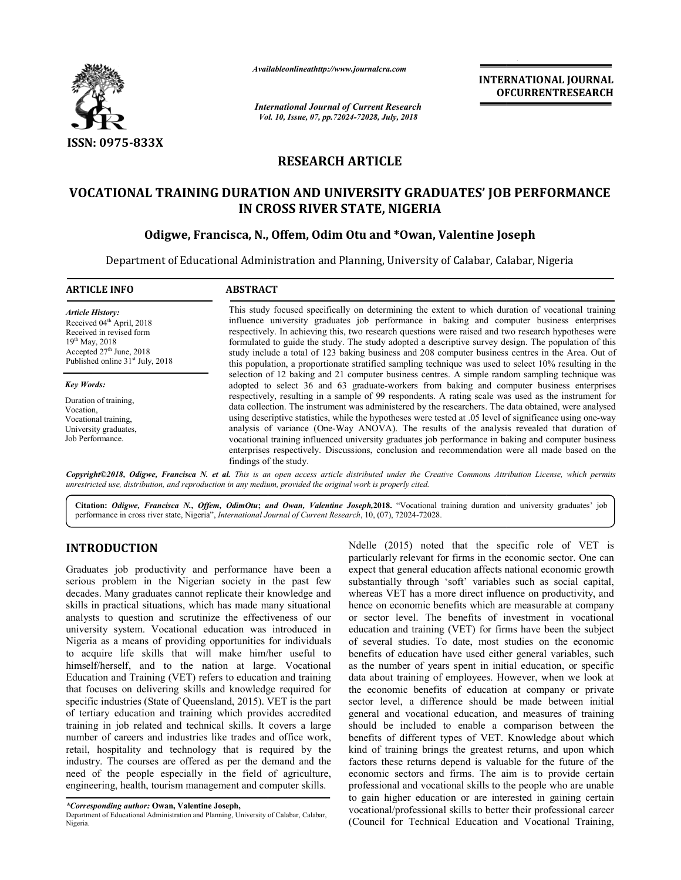

*Availableonlineathttp://www.journal Availableonlineathttp://www.journalcra.com*

*International Journal of Current Research Vol. 10, Issue, 07, Vol. pp.72024-72028, July, 2018*

**INTERNATIONAL JOURNAL OFCURRENTRESEARCH**

# **RESEARCH ARTICLE**

# **VOCATIONAL TRAINING DURATION AND UNIVERSITY GRADUATES' JOB PERFORMANCE AND UNIVERSITY IN CROSS RIVER STATE, NIGERIA**

## **Odigwe, Francisca, N., , Offem, Odim Otu and \*Owan, Valentine Joseph**

Department of Educational Administration and Planning, University of Calabar, Calabar, Nigeria

| <b>ARTICLE INFO</b>                                                                                                                                                                               | <b>ABSTRACT</b>                                                                                                                                                                                                                                                                                                                                                                                                                                                                                                                                                                                                                                                |
|---------------------------------------------------------------------------------------------------------------------------------------------------------------------------------------------------|----------------------------------------------------------------------------------------------------------------------------------------------------------------------------------------------------------------------------------------------------------------------------------------------------------------------------------------------------------------------------------------------------------------------------------------------------------------------------------------------------------------------------------------------------------------------------------------------------------------------------------------------------------------|
| <b>Article History:</b><br>Received 04 <sup>th</sup> April, 2018<br>Received in revised form<br>$19^{th}$ May, 2018<br>Accepted $27th$ June, 2018<br>Published online 31 <sup>st</sup> July, 2018 | This study focused specifically on determining the extent to which duration of vocational training<br>influence university graduates job performance in baking and computer business enterprises<br>respectively. In achieving this, two research questions were raised and two research hypotheses were<br>formulated to guide the study. The study adopted a descriptive survey design. The population of this<br>study include a total of 123 baking business and 208 computer business centres in the Area. Out of                                                                                                                                         |
| <b>Key Words:</b>                                                                                                                                                                                 | this population, a proportionate stratified sampling technique was used to select 10% resulting in the<br>selection of 12 baking and 21 computer business centres. A simple random sampling technique was<br>adopted to select 36 and 63 graduate-workers from baking and computer business enterprises                                                                                                                                                                                                                                                                                                                                                        |
| Duration of training.<br>Vocation,<br>Vocational training.<br>University graduates,<br>Job Performance.                                                                                           | respectively, resulting in a sample of 99 respondents. A rating scale was used as the instrument for<br>data collection. The instrument was administered by the researchers. The data obtained, were analysed<br>using descriptive statistics, while the hypotheses were tested at 0.05 level of significance using one-way<br>analysis of variance (One-Way ANOVA). The results of the analysis revealed that duration of<br>vocational training influenced university graduates job performance in baking and computer business<br>enterprises respectively. Discussions, conclusion and recommendation were all made based on the<br>findings of the study. |

*Copyright©2018, Odigwe, Francisca N. et al. This is an open access article distributed under the Creative Commons Attribution License, which permits*  unrestricted use, distribution, and reproduction in any medium, provided the original work is properly cited.

Citation: Odigwe, Francisca N., Offem, OdimOtu; and Owan, Valentine Joseph, 2018. "Vocational training duration and university graduates' job performance in cross river state, Nigeria", *International Journal of Current Research*, 10, (07), 72024-72028.

## **INTRODUCTION**

Graduates job productivity and performance have been a serious problem in the Nigerian society in the past few decades. Many graduates cannot replicate their knowledge and skills in practical situations, which has made many situational analysts to question and scrutinize the effectiveness of our university system. Vocational education was introduced in Nigeria as a means of providing opportunities for individuals to acquire life skills that will make him/her useful to himself/herself, and to the nation at large. Vocational Education and Training (VET) refers to education and training that focuses on delivering skills and knowledge required for specific industries (State of Queensland, 2015). VET is the part of tertiary education and training which provides a training in job related and technical skills. It covers a large number of careers and industries like trades and office work, retail, hospitality and technology that is required by the industry. The courses are offered as per the demand and the need of the people especially in the field of agriculture, engineering, health, tourism management and computer skills. Graduates job productivity and performance have been a serious problem in the Nigerian society in the past few decades. Many graduates cannot replicate their knowledge and skills in practical situations, which has made man

M**TRODUCTION**<br>
Nelle (2015) noted that the specific rele of VET is<br>
particularly relevant for firms in the conomic sector. One can<br>
paraduates job productivity and performance have been a expect that general education affe particularly relevant for firms in the economic sector. One can expect that general education affects national economic growth substantially through 'soft' variables such as social capital, whereas VET has a more direct influence on productivity, and whereas VET has a more direct influence on productivity, and hence on economic benefits which are measurable at company or sector level. The benefits of investment in vocational education and training (VET) for firms have been the subject of several studies. To date, most studies on the economic benefits of education have used either general variables, such as the number of years spent in initial education, or specific data about training of employees. However, when we look at the economic benefits of education at company or private sector level, a difference should be made between initial general and vocational education, and measures of training should be included to enable a comparison between the should be included to enable a comparison between the benefits of different types of VET. Knowledge about which kind of training brings the greatest returns, and upon which factors these returns depend is valuable for the future of the factors these returns depend is valuable for the future of the economic sectors and firms. The aim is to provide certain professional and vocational skills to the people who are unable to gain higher education or are interested in gaining certain vocational/professional skills to better their professional career (Council for Technical Education and Vocational Training, Ndelle (2015) noted that the specific role of VET is

*<sup>\*</sup>Corresponding author:* **Owan, Valentine Joseph,**

Department of Educational Administration and Planning, University of Calabar, Calabar, Nigeria.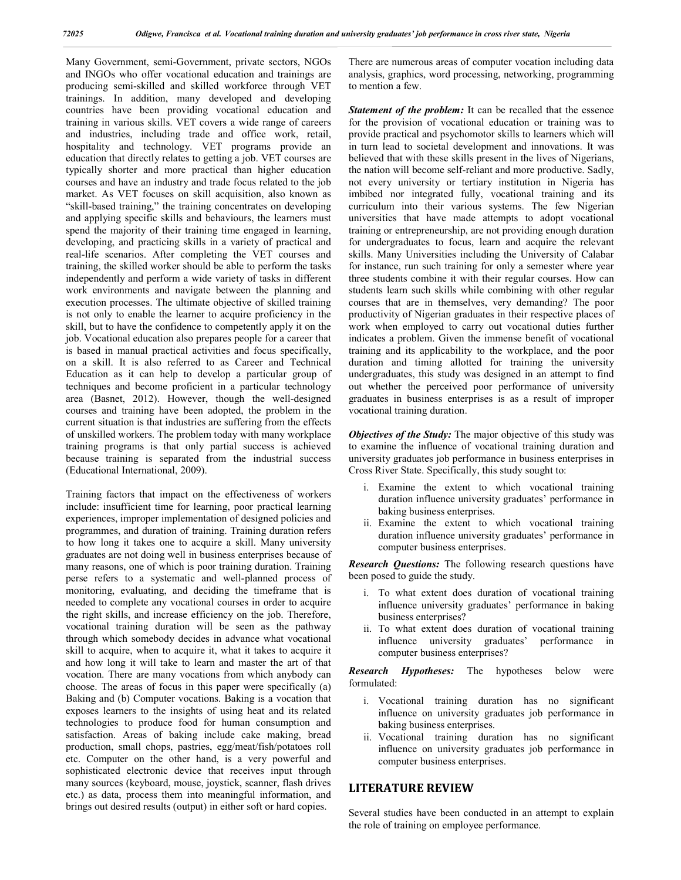Many Government, semi-Government, private sectors, NGOs and INGOs who offer vocational education and trainings are producing semi-skilled and skilled workforce through VET trainings. In addition, many developed and developing countries have been providing vocational education and training in various skills. VET covers a wide range of careers and industries, including trade and office work, retail, hospitality and technology. VET programs provide an education that directly relates to getting a job. VET courses are typically shorter and more practical than higher education courses and have an industry and trade focus related to the job market. As VET focuses on skill acquisition, also known as "skill-based training," the training concentrates on developing and applying specific skills and behaviours, the learners must spend the majority of their training time engaged in learning, developing, and practicing skills in a variety of practical and real-life scenarios. After completing the VET courses and training, the skilled worker should be able to perform the tasks independently and perform a wide variety of tasks in different work environments and navigate between the planning and execution processes. The ultimate objective of skilled training is not only to enable the learner to acquire proficiency in the skill, but to have the confidence to competently apply it on the job. Vocational education also prepares people for a career that is based in manual practical activities and focus specifically, on a skill. It is also referred to as Career and Technical Education as it can help to develop a particular group of techniques and become proficient in a particular technology area (Basnet, 2012). However, though the well-designed courses and training have been adopted, the problem in the current situation is that industries are suffering from the effects of unskilled workers. The problem today with many workplace training programs is that only partial success is achieved because training is separated from the industrial success (Educational International, 2009).

Training factors that impact on the effectiveness of workers include: insufficient time for learning, poor practical learning experiences, improper implementation of designed policies and programmes, and duration of training. Training duration refers to how long it takes one to acquire a skill. Many university graduates are not doing well in business enterprises because of many reasons, one of which is poor training duration. Training perse refers to a systematic and well-planned process of monitoring, evaluating, and deciding the timeframe that is needed to complete any vocational courses in order to acquire the right skills, and increase efficiency on the job. Therefore, vocational training duration will be seen as the pathway through which somebody decides in advance what vocational skill to acquire, when to acquire it, what it takes to acquire it and how long it will take to learn and master the art of that vocation. There are many vocations from which anybody can choose. The areas of focus in this paper were specifically (a) Baking and (b) Computer vocations. Baking is a vocation that exposes learners to the insights of using heat and its related technologies to produce food for human consumption and satisfaction. Areas of baking include cake making, bread production, small chops, pastries, egg/meat/fish/potatoes roll etc. Computer on the other hand, is a very powerful and sophisticated electronic device that receives input through many sources (keyboard, mouse, joystick, scanner, flash drives etc.) as data, process them into meaningful information, and brings out desired results (output) in either soft or hard copies.

There are numerous areas of computer vocation including data analysis, graphics, word processing, networking, programming to mention a few.

**Statement of the problem:** It can be recalled that the essence for the provision of vocational education or training was to provide practical and psychomotor skills to learners which will in turn lead to societal development and innovations. It was believed that with these skills present in the lives of Nigerians, the nation will become self-reliant and more productive. Sadly, not every university or tertiary institution in Nigeria has imbibed nor integrated fully, vocational training and its curriculum into their various systems. The few Nigerian universities that have made attempts to adopt vocational training or entrepreneurship, are not providing enough duration for undergraduates to focus, learn and acquire the relevant skills. Many Universities including the University of Calabar for instance, run such training for only a semester where year three students combine it with their regular courses. How can students learn such skills while combining with other regular courses that are in themselves, very demanding? The poor productivity of Nigerian graduates in their respective places of work when employed to carry out vocational duties further indicates a problem. Given the immense benefit of vocational training and its applicability to the workplace, and the poor duration and timing allotted for training the university undergraduates, this study was designed in an attempt to find out whether the perceived poor performance of university graduates in business enterprises is as a result of improper vocational training duration.

*Objectives of the Study:* The major objective of this study was to examine the influence of vocational training duration and university graduates job performance in business enterprises in Cross River State. Specifically, this study sought to:

- i. Examine the extent to which vocational training duration influence university graduates' performance in baking business enterprises.
- ii. Examine the extent to which vocational training duration influence university graduates' performance in computer business enterprises.

*Research Questions:* The following research questions have been posed to guide the study.

- i. To what extent does duration of vocational training influence university graduates' performance in baking business enterprises?
- ii. To what extent does duration of vocational training influence university graduates' performance in computer business enterprises?

*Research Hypotheses:* The hypotheses below were formulated:

- i. Vocational training duration has no significant influence on university graduates job performance in baking business enterprises.
- ii. Vocational training duration has no significant influence on university graduates job performance in computer business enterprises.

#### **LITERATURE REVIEW**

Several studies have been conducted in an attempt to explain the role of training on employee performance.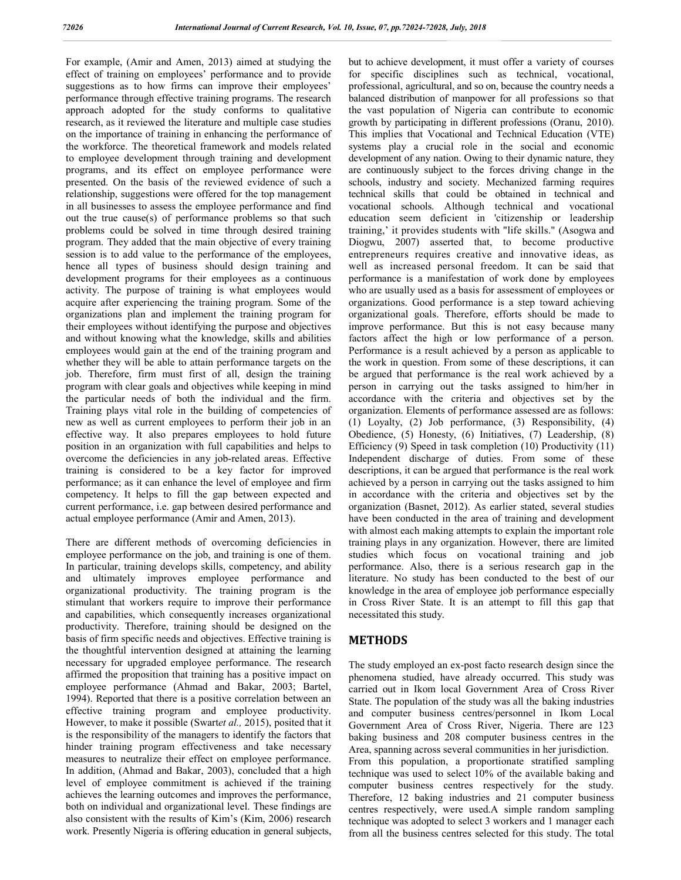For example, (Amir and Amen, 2013) aimed at studying the effect of training on employees' performance and to provide suggestions as to how firms can improve their employees' performance through effective training programs. The research approach adopted for the study conforms to qualitative research, as it reviewed the literature and multiple case studies on the importance of training in enhancing the performance of the workforce. The theoretical framework and models related to employee development through training and development programs, and its effect on employee performance were presented. On the basis of the reviewed evidence of such a relationship, suggestions were offered for the top management in all businesses to assess the employee performance and find out the true cause(s) of performance problems so that such problems could be solved in time through desired training program. They added that the main objective of every training session is to add value to the performance of the employees, hence all types of business should design training and development programs for their employees as a continuous activity. The purpose of training is what employees would acquire after experiencing the training program. Some of the organizations plan and implement the training program for their employees without identifying the purpose and objectives and without knowing what the knowledge, skills and abilities employees would gain at the end of the training program and whether they will be able to attain performance targets on the job. Therefore, firm must first of all, design the training program with clear goals and objectives while keeping in mind the particular needs of both the individual and the firm. Training plays vital role in the building of competencies of new as well as current employees to perform their job in an effective way. It also prepares employees to hold future position in an organization with full capabilities and helps to overcome the deficiencies in any job-related areas. Effective training is considered to be a key factor for improved performance; as it can enhance the level of employee and firm competency. It helps to fill the gap between expected and current performance, i.e. gap between desired performance and actual employee performance (Amir and Amen, 2013).

There are different methods of overcoming deficiencies in employee performance on the job, and training is one of them. In particular, training develops skills, competency, and ability and ultimately improves employee performance and organizational productivity. The training program is the stimulant that workers require to improve their performance and capabilities, which consequently increases organizational productivity. Therefore, training should be designed on the basis of firm specific needs and objectives. Effective training is the thoughtful intervention designed at attaining the learning necessary for upgraded employee performance. The research affirmed the proposition that training has a positive impact on employee performance (Ahmad and Bakar, 2003; Bartel, 1994). Reported that there is a positive correlation between an effective training program and employee productivity. However, to make it possible (Swart*et al.,* 2015), posited that it is the responsibility of the managers to identify the factors that hinder training program effectiveness and take necessary measures to neutralize their effect on employee performance. In addition, (Ahmad and Bakar, 2003), concluded that a high level of employee commitment is achieved if the training achieves the learning outcomes and improves the performance, both on individual and organizational level. These findings are also consistent with the results of Kim's (Kim, 2006) research work. Presently Nigeria is offering education in general subjects,

but to achieve development, it must offer a variety of courses for specific disciplines such as technical, vocational, professional, agricultural, and so on, because the country needs a balanced distribution of manpower for all professions so that the vast population of Nigeria can contribute to economic growth by participating in different professions (Oranu, 2010). This implies that Vocational and Technical Education (VTE) systems play a crucial role in the social and economic development of any nation. Owing to their dynamic nature, they are continuously subject to the forces driving change in the schools, industry and society. Mechanized farming requires technical skills that could be obtained in technical and vocational schools. Although technical and vocational education seem deficient in 'citizenship or leadership training,' it provides students with "life skills." (Asogwa and Diogwu, 2007) asserted that, to become productive entrepreneurs requires creative and innovative ideas, as well as increased personal freedom. It can be said that performance is a manifestation of work done by employees who are usually used as a basis for assessment of employees or organizations. Good performance is a step toward achieving organizational goals. Therefore, efforts should be made to improve performance. But this is not easy because many factors affect the high or low performance of a person. Performance is a result achieved by a person as applicable to the work in question. From some of these descriptions, it can be argued that performance is the real work achieved by a person in carrying out the tasks assigned to him/her in accordance with the criteria and objectives set by the organization. Elements of performance assessed are as follows: (1) Loyalty, (2) Job performance, (3) Responsibility, (4) Obedience, (5) Honesty, (6) Initiatives, (7) Leadership, (8) Efficiency (9) Speed in task completion (10) Productivity (11) Independent discharge of duties. From some of these descriptions, it can be argued that performance is the real work achieved by a person in carrying out the tasks assigned to him in accordance with the criteria and objectives set by the organization (Basnet, 2012). As earlier stated, several studies have been conducted in the area of training and development with almost each making attempts to explain the important role training plays in any organization. However, there are limited studies which focus on vocational training and job performance. Also, there is a serious research gap in the literature. No study has been conducted to the best of our knowledge in the area of employee job performance especially in Cross River State. It is an attempt to fill this gap that necessitated this study.

### **METHODS**

The study employed an ex-post facto research design since the phenomena studied, have already occurred. This study was carried out in Ikom local Government Area of Cross River State. The population of the study was all the baking industries and computer business centres/personnel in Ikom Local Government Area of Cross River, Nigeria. There are 123 baking business and 208 computer business centres in the Area, spanning across several communities in her jurisdiction. From this population, a proportionate stratified sampling technique was used to select 10% of the available baking and computer business centres respectively for the study. Therefore, 12 baking industries and 21 computer business centres respectively, were used.A simple random sampling technique was adopted to select 3 workers and 1 manager each from all the business centres selected for this study. The total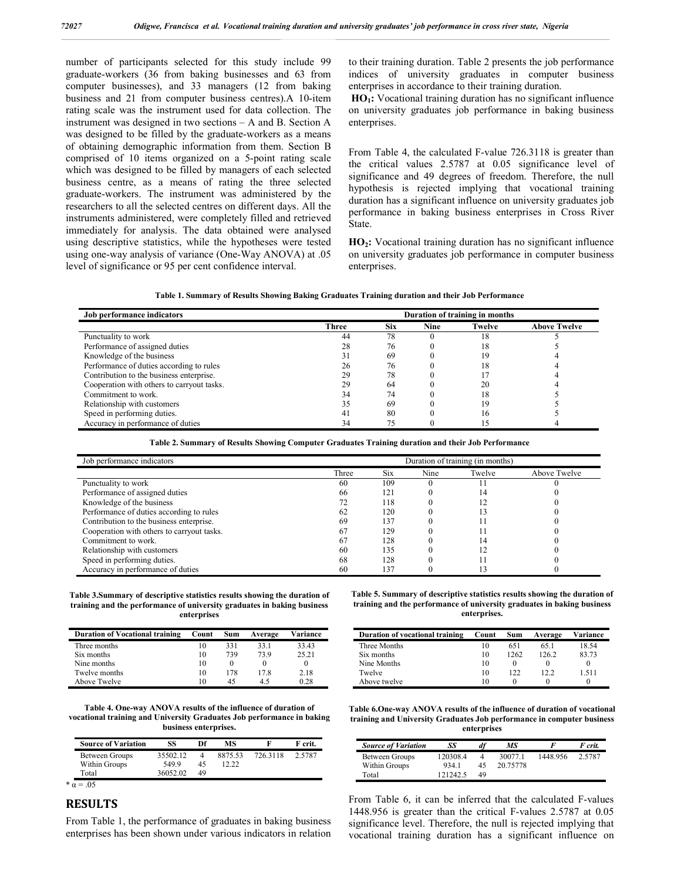number of participants selected for this study include 99 graduate-workers (36 from baking businesses and 63 from computer businesses), and 33 managers (12 from baking business and 21 from computer business centres).A 10-item rating scale was the instrument used for data collection. The instrument was designed in two sections – A and B. Section A was designed to be filled by the graduate-workers as a means of obtaining demographic information from them. Section B comprised of 10 items organized on a 5-point rating scale which was designed to be filled by managers of each selected business centre, as a means of rating the three selected graduate-workers. The instrument was administered by the researchers to all the selected centres on different days. All the instruments administered, were completely filled and retrieved immediately for analysis. The data obtained were analysed using descriptive statistics, while the hypotheses were tested using one-way analysis of variance (One-Way ANOVA) at .05 level of significance or 95 per cent confidence interval.

to their training duration. Table 2 presents the job performance indices of university graduates in computer business enterprises in accordance to their training duration.

**HO<sub>1</sub>:** Vocational training duration has no significant influence on university graduates job performance in baking business enterprises.

From Table 4, the calculated F-value 726.3118 is greater than the critical values 2.5787 at 0.05 significance level of significance and 49 degrees of freedom. Therefore, the null hypothesis is rejected implying that vocational training duration has a significant influence on university graduates job performance in baking business enterprises in Cross River State.

**HO<sub>2</sub>:** Vocational training duration has no significant influence on university graduates job performance in computer business enterprises.

|  |  | Table 1. Summary of Results Showing Baking Graduates Training duration and their Job Performance |  |  |  |  |  |
|--|--|--------------------------------------------------------------------------------------------------|--|--|--|--|--|
|--|--|--------------------------------------------------------------------------------------------------|--|--|--|--|--|

| Job performance indicators                 |       |            |             | Duration of training in months |                     |
|--------------------------------------------|-------|------------|-------------|--------------------------------|---------------------|
|                                            | Three | <b>Six</b> | <b>Nine</b> | Twelve                         | <b>Above Twelve</b> |
| Punctuality to work                        | 44    | 78         |             | 18                             |                     |
| Performance of assigned duties             | 28    | 76         |             | 18                             |                     |
| Knowledge of the business                  |       | 69         |             | 19                             |                     |
| Performance of duties according to rules   | 26    | 76         |             | 18                             |                     |
| Contribution to the business enterprise.   | 29    | 78         |             |                                |                     |
| Cooperation with others to carryout tasks. | 29    | 64         |             | 20                             |                     |
| Commitment to work.                        | 34    | 74         |             | 18                             |                     |
| Relationship with customers                |       | 69         |             | 19                             |                     |
| Speed in performing duties.                | 4     | 80         |             | 16                             |                     |
| Accuracy in performance of duties          |       |            |             |                                |                     |

**Table 2. Summary of Results Showing Computer Graduates Training duration and their Job Performance**

| Job performance indicators                 |       |     |      | Duration of training (in months) |              |
|--------------------------------------------|-------|-----|------|----------------------------------|--------------|
|                                            | Three | Six | Nine | Twelve                           | Above Twelve |
| Punctuality to work                        | 60    | 109 |      |                                  |              |
| Performance of assigned duties             | 66    | 121 |      | 14                               |              |
| Knowledge of the business                  | 72    | 118 |      |                                  |              |
| Performance of duties according to rules   | 62    | 120 |      |                                  |              |
| Contribution to the business enterprise.   | 69    | 137 |      |                                  |              |
| Cooperation with others to carryout tasks. | 67    | 129 |      |                                  |              |
| Commitment to work.                        | 67    | 128 |      | 4                                |              |
| Relationship with customers                | 60    | 135 |      |                                  |              |
| Speed in performing duties.                | 68    | 128 |      |                                  |              |
| Accuracy in performance of duties          | 60    | 137 |      |                                  |              |

**Table 3.Summary of descriptive statistics results showing the duration of training and the performance of university graduates in baking business enterprises**

| <b>Duration of Vocational training</b> | Count | Sum | Average | Variance |
|----------------------------------------|-------|-----|---------|----------|
| Three months                           | 10    | 331 | 33.1    | 33.43    |
| Six months                             | 10    | 739 | 73.9    | 25.21    |
| Nine months                            | 10    |     |         |          |
| Twelve months                          | 10    | 178 | 17.8    | 2.18     |
| Above Twelve                           | 10    | 45  | 45      | 0.28     |

**Table 4. One-way ANOVA results of the influence of duration of vocational training and University Graduates Job performance in baking business enterprises.**

| <b>Source of Variation</b> | SS       | Df | МS      |         | F crit. |
|----------------------------|----------|----|---------|---------|---------|
| Between Groups             | 35502.12 |    | 8875.53 | 7263118 | 2.5787  |
| Within Groups              | 5499     | 45 | 12.22   |         |         |
| Total                      | 36052.02 | 49 |         |         |         |

#### **RESULTS**

From Table 1, the performance of graduates in baking business enterprises has been shown under various indicators in relation

**Table 5. Summary of descriptive statistics results showing the duration of training and the performance of university graduates in baking business enterprises.**

| Duration of vocational training | Count | Sum  | Average | Variance |
|---------------------------------|-------|------|---------|----------|
| Three Months                    | 10    | 651  | 65.1    | 18.54    |
| Six months                      | 10    | 1262 | 126.2   | 83.73    |
| Nine Months                     | 10    |      |         |          |
| Twelve                          | 10    | 122  | 12.2    | 1.511    |
| Above twelve                    | 10    |      |         |          |

**Table 6.One-way ANOVA results of the influence of duration of vocational training and University Graduates Job performance in computer business enterprises**

| <b>Source of Variation</b> | SS       | df | МS       | н        | F crit. |
|----------------------------|----------|----|----------|----------|---------|
| Between Groups             | 120308.4 | 4  | 30077.1  | 1448.956 | 2.5787  |
| Within Groups              | 9341     | 45 | 20.75778 |          |         |
| Total                      | 121242.5 | 49 |          |          |         |

From Table 6, it can be inferred that the calculated F-values 1448.956 is greater than the critical F-values 2.5787 at 0.05 significance level. Therefore, the null is rejected implying that vocational training duration has a significant influence on